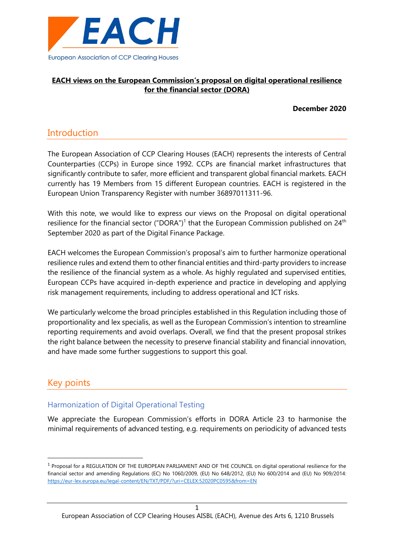

## **EACH views on the European Commission's proposal on digital operational resilience for the financial sector (DORA)**

**December 2020**

# **Introduction**

The European Association of CCP Clearing Houses (EACH) represents the interests of Central Counterparties (CCPs) in Europe since 1992. CCPs are financial market infrastructures that significantly contribute to safer, more efficient and transparent global financial markets. EACH currently has 19 Members from 15 different European countries. EACH is registered in the European Union Transparency Register with number 36897011311-96.

With this note, we would like to express our views on the Proposal on digital operational resilience for the financial sector ("DORA")<sup>1</sup> that the European Commission published on 24<sup>th</sup> September 2020 as part of the Digital Finance Package.

EACH welcomes the European Commission's proposal's aim to further harmonize operational resilience rules and extend them to other financial entities and third-party providers to increase the resilience of the financial system as a whole. As highly regulated and supervised entities, European CCPs have acquired in-depth experience and practice in developing and applying risk management requirements, including to address operational and ICT risks.

We particularly welcome the broad principles established in this Regulation including those of proportionality and lex specialis, as well as the European Commission's intention to streamline reporting requirements and avoid overlaps. Overall, we find that the present proposal strikes the right balance between the necessity to preserve financial stability and financial innovation, and have made some further suggestions to support this goal.

# Key points

## Harmonization of Digital Operational Testing

We appreciate the European Commission's efforts in DORA Article 23 to harmonise the minimal requirements of advanced testing, e.g. requirements on periodicity of advanced tests

<sup>&</sup>lt;sup>1</sup> Proposal for a REGULATION OF THE EUROPEAN PARLIAMENT AND OF THE COUNCIL on digital operational resilience for the financial sector and amending Regulations (EC) No 1060/2009, (EU) No 648/2012, (EU) No 600/2014 and (EU) No 909/2014: <https://eur-lex.europa.eu/legal-content/EN/TXT/PDF/?uri=CELEX:52020PC0595&from=EN>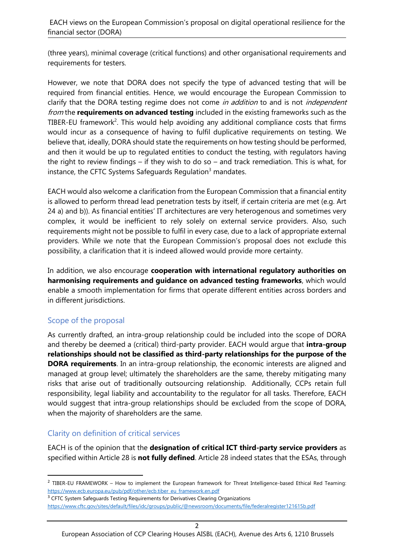(three years), minimal coverage (critical functions) and other organisational requirements and requirements for testers.

However, we note that DORA does not specify the type of advanced testing that will be required from financial entities. Hence, we would encourage the European Commission to clarify that the DORA testing regime does not come in addition to and is not independent from the **requirements on advanced testing** included in the existing frameworks such as the TIBER-EU framework<sup>2</sup>. This would help avoiding any additional compliance costs that firms would incur as a consequence of having to fulfil duplicative requirements on testing. We believe that, ideally, DORA should state the requirements on how testing should be performed, and then it would be up to regulated entities to conduct the testing, with regulators having the right to review findings – if they wish to do so – and track remediation. This is what, for instance, the CFTC Systems Safeguards Regulation $3$  mandates.

EACH would also welcome a clarification from the European Commission that a financial entity is allowed to perform thread lead penetration tests by itself, if certain criteria are met (e.g. Art 24 a) and b)). As financial entities' IT architectures are very heterogenous and sometimes very complex, it would be inefficient to rely solely on external service providers. Also, such requirements might not be possible to fulfil in every case, due to a lack of appropriate external providers. While we note that the European Commission's proposal does not exclude this possibility, a clarification that it is indeed allowed would provide more certainty.

In addition, we also encourage **cooperation with international regulatory authorities on harmonising requirements and guidance on advanced testing frameworks**, which would enable a smooth implementation for firms that operate different entities across borders and in different jurisdictions.

## Scope of the proposal

As currently drafted, an intra-group relationship could be included into the scope of DORA and thereby be deemed a (critical) third-party provider. EACH would argue that **intra-group relationships should not be classified as third-party relationships for the purpose of the DORA requirements**. In an intra-group relationship, the economic interests are aligned and managed at group level; ultimately the shareholders are the same, thereby mitigating many risks that arise out of traditionally outsourcing relationship. Additionally, CCPs retain full responsibility, legal liability and accountability to the regulator for all tasks. Therefore, EACH would suggest that intra-group relationships should be excluded from the scope of DORA, when the majority of shareholders are the same.

# Clarity on definition of critical services

EACH is of the opinion that the **designation of critical ICT third-party service providers** as specified within Article 28 is **not fully defined**. Article 28 indeed states that the ESAs, through

<sup>3</sup> CFTC System Safeguards Testing Requirements for Derivatives Clearing Organizations

<sup>&</sup>lt;sup>2</sup> TIBER-EU FRAMEWORK – How to implement the European framework for Threat Intelligence-based Ethical Red Teaming: [https://www.ecb.europa.eu/pub/pdf/other/ecb.tiber\\_eu\\_framework.en.pdf](https://www.ecb.europa.eu/pub/pdf/other/ecb.tiber_eu_framework.en.pdf)

<https://www.cftc.gov/sites/default/files/idc/groups/public/@newsroom/documents/file/federalregister121615b.pdf>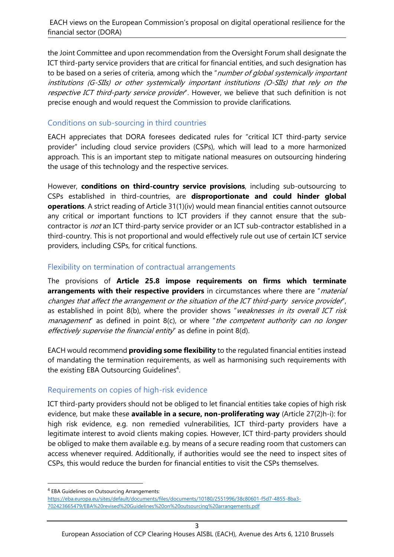the Joint Committee and upon recommendation from the Oversight Forum shall designate the ICT third-party service providers that are critical for financial entities, and such designation has to be based on a series of criteria, among which the "number of global systemically important institutions (G-SIIs) or other systemically important institutions (O-SIIs) that rely on the respective ICT third-party service provider". However, we believe that such definition is not precise enough and would request the Commission to provide clarifications.

# Conditions on sub-sourcing in third countries

EACH appreciates that DORA foresees dedicated rules for "critical ICT third-party service provider" including cloud service providers (CSPs), which will lead to a more harmonized approach. This is an important step to mitigate national measures on outsourcing hindering the usage of this technology and the respective services.

However, **conditions on third-country service provisions**, including sub-outsourcing to CSPs established in third-countries, are **disproportionate and could hinder global operations**. A strict reading of Article 31(1)(iv) would mean financial entities cannot outsource any critical or important functions to ICT providers if they cannot ensure that the subcontractor is *not* an ICT third-party service provider or an ICT sub-contractor established in a third-country. This is not proportional and would effectively rule out use of certain ICT service providers, including CSPs, for critical functions.

#### Flexibility on termination of contractual arrangements

The provisions of **Article 25.8 impose requirements on firms which terminate arrangements with their respective providers** in circumstances where there are "material changes that affect the arrangement or the situation of the ICT third-party service provider", as established in point 8(b), where the provider shows "weaknesses in its overall ICT risk *management* as defined in point  $8(c)$ , or where *the competent authority can no longer* effectively supervise the financial entity" as define in point 8(d).

EACH would recommend **providing some flexibility** to the regulated financial entities instead of mandating the termination requirements, as well as harmonising such requirements with the existing EBA Outsourcing Guidelines<sup>4</sup>.

## Requirements on copies of high-risk evidence

ICT third-party providers should not be obliged to let financial entities take copies of high risk evidence, but make these **available in a secure, non-proliferating way** (Article 27(2)h-i): for high risk evidence, e.g. non remedied vulnerabilities, ICT third-party providers have a legitimate interest to avoid clients making copies. However, ICT third-party providers should be obliged to make them available e.g. by means of a secure reading room that customers can access whenever required. Additionally, if authorities would see the need to inspect sites of CSPs, this would reduce the burden for financial entities to visit the CSPs themselves.

<sup>4</sup> EBA Guidelines on Outsourcing Arrangements:

[https://eba.europa.eu/sites/default/documents/files/documents/10180/2551996/38c80601-f5d7-4855-8ba3-](https://eba.europa.eu/sites/default/documents/files/documents/10180/2551996/38c80601-f5d7-4855-8ba3-702423665479/EBA%20revised%20Guidelines%20on%20outsourcing%20arrangements.pdf) [702423665479/EBA%20revised%20Guidelines%20on%20outsourcing%20arrangements.pdf](https://eba.europa.eu/sites/default/documents/files/documents/10180/2551996/38c80601-f5d7-4855-8ba3-702423665479/EBA%20revised%20Guidelines%20on%20outsourcing%20arrangements.pdf)